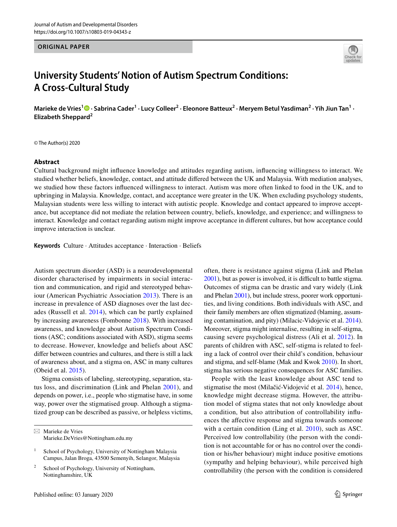#### **ORIGINAL PAPER**



# **University Students' Notion of Autism Spectrum Conditions: A Cross‑Cultural Study**

Mariekede Vries<sup>1</sup><sup>®</sup> · Sabrina Cader<sup>1</sup> · Lucy Colleer<sup>2</sup> · Eleonore Batteux<sup>2</sup> · Meryem Betul Yasdiman<sup>2</sup> · Yih Jiun Tan<sup>1</sup> · **Elizabeth Sheppard<sup>2</sup>**

© The Author(s) 2020

#### **Abstract**

Cultural background might infuence knowledge and attitudes regarding autism, infuencing willingness to interact. We studied whether beliefs, knowledge, contact, and attitude difered between the UK and Malaysia. With mediation analyses, we studied how these factors infuenced willingness to interact. Autism was more often linked to food in the UK, and to upbringing in Malaysia. Knowledge, contact, and acceptance were greater in the UK. When excluding psychology students, Malaysian students were less willing to interact with autistic people. Knowledge and contact appeared to improve acceptance, but acceptance did not mediate the relation between country, beliefs, knowledge, and experience; and willingness to interact. Knowledge and contact regarding autism might improve acceptance in diferent cultures, but how acceptance could improve interaction is unclear.

**Keywords** Culture · Attitudes acceptance · Interaction · Beliefs

Autism spectrum disorder (ASD) is a neurodevelopmental disorder characterised by impairments in social interaction and communication, and rigid and stereotyped behaviour (American Psychiatric Association [2013\)](#page-12-0). There is an increase in prevalence of ASD diagnoses over the last decades (Russell et al. [2014](#page-13-0)), which can be partly explained by increasing awareness (Fombonne [2018\)](#page-12-1). With increased awareness, and knowledge about Autism Spectrum Conditions (ASC; conditions associated with ASD), stigma seems to decrease. However, knowledge and beliefs about ASC difer between countries and cultures, and there is still a lack of awareness about, and a stigma on, ASC in many cultures (Obeid et al. [2015\)](#page-13-1).

Stigma consists of labeling, stereotyping, separation, status loss, and discrimination (Link and Phelan [2001](#page-13-2)), and depends on power, i.e., people who stigmatise have, in some way, power over the stigmatised group. Although a stigmatized group can be described as passive, or helpless victims,

 $\boxtimes$  Marieke de Vries Marieke.DeVries@Nottingham.edu.my often, there is resistance against stigma (Link and Phelan [2001\)](#page-13-2), but as power is involved, it is difficult to battle stigma. Outcomes of stigma can be drastic and vary widely (Link and Phelan [2001\)](#page-13-2), but include stress, poorer work opportunities, and living conditions. Both individuals with ASC, and their family members are often stigmatized (blaming, assuming contamination, and pity) (Milacic-Vidojevic et al. [2014](#page-13-3)). Moreover, stigma might internalise, resulting in self-stigma, causing severe psychological distress (Ali et al. [2012\)](#page-12-2). In parents of children with ASC, self-stigma is related to feeling a lack of control over their child's condition, behaviour and stigma, and self-blame (Mak and Kwok [2010\)](#page-13-4). In short, stigma has serious negative consequences for ASC families.

People with the least knowledge about ASC tend to stigmatise the most (Milačić-Vidojević et al. [2014](#page-13-3)), hence, knowledge might decrease stigma. However, the attribution model of stigma states that not only knowledge about a condition, but also attribution of controllability infuences the affective response and stigma towards someone with a certain condition (Ling et al. [2010](#page-13-5)), such as ASC. Perceived low controllability (the person with the condition is not accountable for or has no control over the condition or his/her behaviour) might induce positive emotions (sympathy and helping behaviour), while perceived high controllability (the person with the condition is considered

<sup>&</sup>lt;sup>1</sup> School of Psychology, University of Nottingham Malaysia Campus, Jalan Broga, 43500 Semenyih, Selangor, Malaysia

<sup>&</sup>lt;sup>2</sup> School of Psychology, University of Nottingham, Nottinghamshire, UK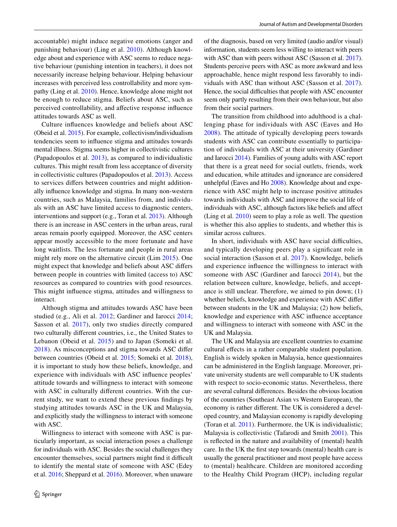accountable) might induce negative emotions (anger and punishing behaviour) (Ling et al. [2010](#page-13-5)). Although knowledge about and experience with ASC seems to reduce negative behaviour (punishing intention in teachers), it does not necessarily increase helping behaviour. Helping behaviour increases with perceived less controllability and more sympathy (Ling et al. [2010\)](#page-13-5). Hence, knowledge alone might not be enough to reduce stigma. Beliefs about ASC, such as perceived controllability, and afective response infuence attitudes towards ASC as well.

Culture infuences knowledge and beliefs about ASC (Obeid et al. [2015\)](#page-13-1). For example, collectivism/individualism tendencies seem to infuence stigma and attitudes towards mental illness. Stigma seems higher in collectivistic cultures (Papadopoulos et al. [2013](#page-13-6)), as compared to individualistic cultures. This might result from less acceptance of diversity in collectivistic cultures (Papadopoulos et al. [2013\)](#page-13-6). Access to services difers between countries and might additionally infuence knowledge and stigma. In many non-western countries, such as Malaysia, families from, and individuals with an ASC have limited access to diagnostic centers, interventions and support (e.g., Toran et al. [2013](#page-13-7)). Although there is an increase in ASC centers in the urban areas, rural areas remain poorly equipped. Moreover, the ASC centers appear mostly accessible to the more fortunate and have long waitlists. The less fortunate and people in rural areas might rely more on the alternative circuit (Lim [2015\)](#page-13-8). One might expect that knowledge and beliefs about ASC difers between people in countries with limited (access to) ASC resources as compared to countries with good resources. This might infuence stigma, attitudes and willingness to interact.

Although stigma and attitudes towards ASC have been studied (e.g., Ali et al. [2012;](#page-12-2) Gardiner and Iarocci [2014](#page-13-9); Sasson et al. [2017](#page-13-10)), only two studies directly compared two culturally diferent countries, i.e., the United States to Lebanon (Obeid et al. [2015](#page-13-1)) and to Japan (Someki et al. [2018\)](#page-13-11). As misconceptions and stigma towards ASC difer between countries (Obeid et al. [2015](#page-13-1); Someki et al. [2018](#page-13-11)), it is important to study how these beliefs, knowledge, and experience with individuals with ASC infuence peoples' attitude towards and willingness to interact with someone with ASC in culturally diferent countries. With the current study, we want to extend these previous fndings by studying attitudes towards ASC in the UK and Malaysia, and explicitly study the willingness to interact with someone with ASC.

Willingness to interact with someone with ASC is particularly important, as social interaction poses a challenge for individuals with ASC. Besides the social challenges they encounter themselves, social partners might find it difficult to identify the mental state of someone with ASC (Edey et al. [2016;](#page-12-3) Sheppard et al. [2016\)](#page-13-12). Moreover, when unaware of the diagnosis, based on very limited (audio and/or visual) information, students seem less willing to interact with peers with ASC than with peers without ASC (Sasson et al. [2017](#page-13-10)). Students perceive peers with ASC as more awkward and less approachable, hence might respond less favorably to individuals with ASC than without ASC (Sasson et al. [2017](#page-13-10)). Hence, the social difficulties that people with ASC encounter seem only partly resulting from their own behaviour, but also from their social partners.

The transition from childhood into adulthood is a challenging phase for individuals with ASC (Eaves and Ho [2008\)](#page-12-4). The attitude of typically developing peers towards students with ASC can contribute essentially to participation of individuals with ASC at their university (Gardiner and Iarocci [2014\)](#page-13-9). Families of young adults with ASC report that there is a great need for social outlets, friends, work and education, while attitudes and ignorance are considered unhelpful (Eaves and Ho [2008\)](#page-12-4). Knowledge about and experience with ASC might help to increase positive attitudes towards individuals with ASC and improve the social life of individuals with ASC, although factors like beliefs and afect (Ling et al. [2010\)](#page-13-5) seem to play a role as well. The question is whether this also applies to students, and whether this is similar across cultures.

In short, individuals with ASC have social difficulties, and typically developing peers play a signifcant role in social interaction (Sasson et al. [2017\)](#page-13-10). Knowledge, beliefs and experience infuence the willingness to interact with someone with ASC (Gardiner and Iarocci [2014\)](#page-13-9), but the relation between culture, knowledge, beliefs, and acceptance is still unclear. Therefore, we aimed to pin down; (1) whether beliefs, knowledge and experience with ASC difer between students in the UK and Malaysia; (2) how beliefs, knowledge and experience with ASC infuence acceptance and willingness to interact with someone with ASC in the UK and Malaysia.

The UK and Malaysia are excellent countries to examine cultural efects in a rather comparable student population. English is widely spoken in Malaysia, hence questionnaires can be administered in the English language. Moreover, private university students are well comparable to UK students with respect to socio-economic status. Nevertheless, there are several cultural diferences. Besides the obvious location of the countries (Southeast Asian vs Western European), the economy is rather diferent. The UK is considered a developed country, and Malaysian economy is rapidly developing (Toran et al. [2011\)](#page-13-13). Furthermore, the UK is individualistic; Malaysia is collectivistic (Tafarodi and Smith [2001](#page-13-14)). This is refected in the nature and availability of (mental) health care. In the UK the frst step towards (mental) health care is usually the general practitioner and most people have access to (mental) healthcare. Children are monitored according to the Healthy Child Program (HCP), including regular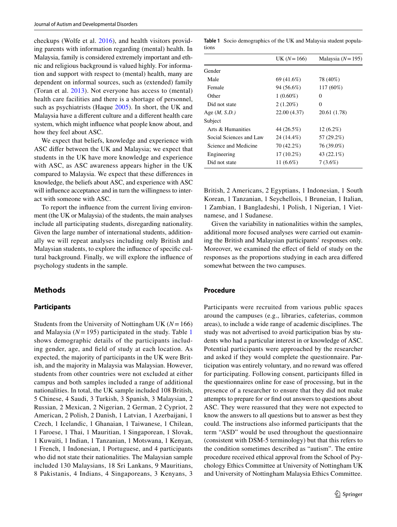checkups (Wolfe et al. [2016\)](#page-13-15), and health visitors providing parents with information regarding (mental) health. In Malaysia, family is considered extremely important and ethnic and religious background is valued highly. For information and support with respect to (mental) health, many are dependent on informal sources, such as (extended) family (Toran et al. [2013](#page-13-7)). Not everyone has access to (mental) health care facilities and there is a shortage of personnel, such as psychiatrists (Haque [2005](#page-13-16)). In short, the UK and Malaysia have a diferent culture and a diferent health care system, which might infuence what people know about, and how they feel about ASC.

We expect that beliefs, knowledge and experience with ASC difer between the UK and Malaysia; we expect that students in the UK have more knowledge and experience with ASC, as ASC awareness appears higher in the UK compared to Malaysia. We expect that these diferences in knowledge, the beliefs about ASC, and experience with ASC will infuence acceptance and in turn the willingness to interact with someone with ASC.

To report the infuence from the current living environment (the UK or Malaysia) of the students, the main analyses include all participating students, disregarding nationality. Given the large number of international students, additionally we will repeat analyses including only British and Malaysian students, to explore the infuence of specifc cultural background. Finally, we will explore the infuence of psychology students in the sample.

# **Methods**

#### **Participants**

Students from the University of Nottingham UK (*N*=166) and Malaysia ( $N = 195$  $N = 195$  $N = 195$ ) participated in the study. Table 1 shows demographic details of the participants including gender, age, and feld of study at each location. As expected, the majority of participants in the UK were British, and the majority in Malaysia was Malaysian. However, students from other countries were not excluded at either campus and both samples included a range of additional nationalities. In total, the UK sample included 108 British, 5 Chinese, 4 Saudi, 3 Turkish, 3 Spanish, 3 Malaysian, 2 Russian, 2 Mexican, 2 Nigerian, 2 German, 2 Cypriot, 2 American, 2 Polish, 2 Danish, 1 Latvian, 1 Azerbaijani, 1 Czech, 1 Icelandic, 1 Ghanaian, 1 Taiwanese, 1 Chilean, 1 Faroese, 1 Thai, 1 Mauritian, 1 Singaporean, 1 Slovak, 1 Kuwaiti, 1 Indian, 1 Tanzanian, 1 Motswana, 1 Kenyan, 1 French, 1 Indonesian, 1 Portuguese, and 4 participants who did not state their nationalities. The Malaysian sample included 130 Malaysians, 18 Sri Lankans, 9 Mauritians, 8 Pakistanis, 4 Indians, 4 Singaporeans, 3 Kenyans, 3

<span id="page-2-0"></span>**Table 1** Socio demographics of the UK and Malaysia student populations

|                         | UK $(N=166)$ | Malaysia $(N=195)$ |
|-------------------------|--------------|--------------------|
| Gender                  |              |                    |
| Male                    | 69 (41.6%)   | 78 (40%)           |
| Female                  | 94 (56.6%)   | 117 (60%)          |
| Other                   | $1(0.60\%)$  | 0                  |
| Did not state           | $2(1.20\%)$  | $\Omega$           |
| Age $(M, S.D.)$         | 22.00 (4.37) | 20.61 (1.78)       |
| Subject                 |              |                    |
| Arts & Humanities       | 44 (26.5%)   | $12(6.2\%)$        |
| Social Sciences and Law | 24 (14.4%)   | 57 (29.2%)         |
| Science and Medicine    | 70 (42.2%)   | 76 (39.0%)         |
| Engineering             | $17(10.2\%)$ | 43 (22.1%)         |
| Did not state           | 11 (6.6%)    | $7(3.6\%)$         |

British, 2 Americans, 2 Egyptians, 1 Indonesian, 1 South Korean, 1 Tanzanian, 1 Seychellois, 1 Bruneian, 1 Italian, 1 Zambian, 1 Bangladeshi, 1 Polish, 1 Nigerian, 1 Vietnamese, and 1 Sudanese.

Given the variability in nationalities within the samples, additional more focused analyses were carried out examining the British and Malaysian participants' responses only. Moreover, we examined the effect of field of study on the responses as the proportions studying in each area difered somewhat between the two campuses.

# **Procedure**

Participants were recruited from various public spaces around the campuses (e.g., libraries, cafeterias, common areas), to include a wide range of academic disciplines. The study was not advertised to avoid participation bias by students who had a particular interest in or knowledge of ASC. Potential participants were approached by the researcher and asked if they would complete the questionnaire. Participation was entirely voluntary, and no reward was ofered for participating. Following consent, participants flled in the questionnaires online for ease of processing, but in the presence of a researcher to ensure that they did not make attempts to prepare for or fnd out answers to questions about ASC. They were reassured that they were not expected to know the answers to all questions but to answer as best they could. The instructions also informed participants that the term "ASD" would be used throughout the questionnaire (consistent with DSM-5 terminology) but that this refers to the condition sometimes described as "autism". The entire procedure received ethical approval from the School of Psychology Ethics Committee at University of Nottingham UK and University of Nottingham Malaysia Ethics Committee.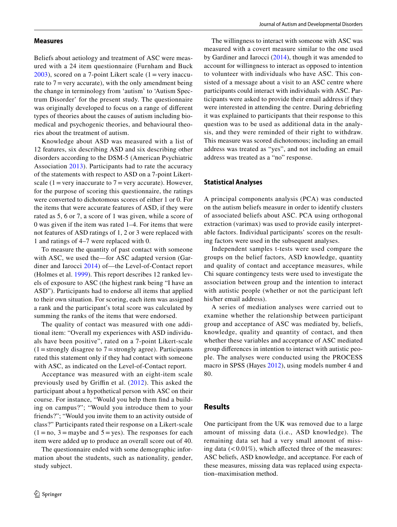#### **Measures**

Beliefs about aetiology and treatment of ASC were measured with a 24 item questionnaire (Furnham and Buck  $2003$ ), scored on a 7-point Likert scale (1 = very inaccurate to  $7 = \text{very accurate}$ , with the only amendment being the change in terminology from 'autism' to 'Autism Spectrum Disorder' for the present study. The questionnaire was originally developed to focus on a range of diferent types of theories about the causes of autism including biomedical and psychogenic theories, and behavioural theories about the treatment of autism.

Knowledge about ASD was measured with a list of 12 features, six describing ASD and six describing other disorders according to the DSM-5 (American Psychiatric Association [2013\)](#page-12-0). Participants had to rate the accuracy of the statements with respect to ASD on a 7-point Likertscale (1 = very inaccurate to  $7$  = very accurate). However, for the purpose of scoring this questionnaire, the ratings were converted to dichotomous scores of either 1 or 0. For the items that were accurate features of ASD, if they were rated as 5, 6 or 7, a score of 1 was given, while a score of 0 was given if the item was rated 1–4. For items that were not features of ASD ratings of 1, 2 or 3 were replaced with 1 and ratings of 4–7 were replaced with 0.

To measure the quantity of past contact with someone with ASC, we used the—for ASC adapted version (Gardiner and Iarocci [2014](#page-13-9)) of—the Level-of-Contact report (Holmes et al. [1999](#page-13-17)). This report describes 12 ranked levels of exposure to ASC (the highest rank being "I have an ASD"). Participants had to endorse all items that applied to their own situation. For scoring, each item was assigned a rank and the participant's total score was calculated by summing the ranks of the items that were endorsed.

The quality of contact was measured with one additional item: "Overall my experiences with ASD individuals have been positive", rated on a 7-point Likert-scale  $(1 =$ strongly disagree to  $7 =$ strongly agree). Participants rated this statement only if they had contact with someone with ASC, as indicated on the Level-of-Contact report.

Acceptance was measured with an eight-item scale previously used by Griffin et al.  $(2012)$  $(2012)$ . This asked the participant about a hypothetical person with ASC on their course. For instance, "Would you help them fnd a building on campus?"; "Would you introduce them to your friends?"; "Would you invite them to an activity outside of class?" Participants rated their response on a Likert-scale  $(1 = no, 3 = maybe and 5 = yes)$ . The responses for each item were added up to produce an overall score out of 40.

The questionnaire ended with some demographic information about the students, such as nationality, gender, study subject.

The willingness to interact with someone with ASC was measured with a covert measure similar to the one used by Gardiner and Iarocci ([2014\)](#page-13-9), though it was amended to account for willingness to interact as opposed to intention to volunteer with individuals who have ASC. This consisted of a message about a visit to an ASC centre where participants could interact with individuals with ASC. Participants were asked to provide their email address if they were interested in attending the centre. During debriefng it was explained to participants that their response to this question was to be used as additional data in the analysis, and they were reminded of their right to withdraw. This measure was scored dichotomous; including an email address was treated as "yes", and not including an email address was treated as a "no" response.

#### **Statistical Analyses**

A principal components analysis (PCA) was conducted on the autism beliefs measure in order to identify clusters of associated beliefs about ASC. PCA using orthogonal extraction (varimax) was used to provide easily interpretable factors. Individual participants' scores on the resulting factors were used in the subsequent analyses.

Independent samples t-tests were used compare the groups on the belief factors, ASD knowledge, quantity and quality of contact and acceptance measures, while Chi square contingency tests were used to investigate the association between group and the intention to interact with autistic people (whether or not the participant left his/her email address).

A series of mediation analyses were carried out to examine whether the relationship between participant group and acceptance of ASC was mediated by, beliefs, knowledge, quality and quantity of contact, and then whether these variables and acceptance of ASC mediated group diferences in intention to interact with autistic people. The analyses were conducted using the PROCESS macro in SPSS (Hayes [2012](#page-13-19)), using models number 4 and 80.

## **Results**

One participant from the UK was removed due to a large amount of missing data (i.e., ASD knowledge). The remaining data set had a very small amount of missing data  $\left($  < 0.01%), which affected three of the measures: ASC beliefs, ASD knowledge, and acceptance. For each of these measures, missing data was replaced using expectation–maximisation method.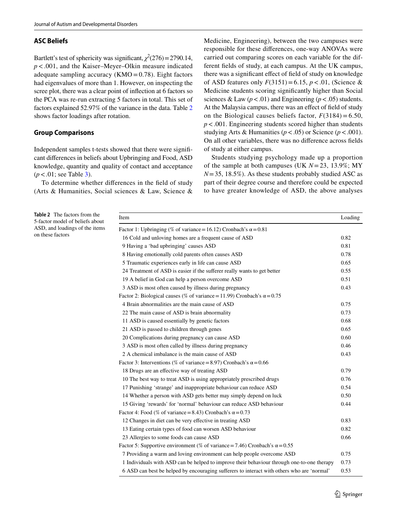## **ASC Beliefs**

Bartlett's test of sphericity was significant,  $\chi^2(276) = 2790.14$ , *p*<.001, and the Kaiser–Meyer–Olkin measure indicated adequate sampling accuracy ( $KMO = 0.78$ ). Eight factors had eigenvalues of more than 1. However, on inspecting the scree plot, there was a clear point of infection at 6 factors so the PCA was re-run extracting 5 factors in total. This set of factors explained 52.97% of the variance in the data. Table [2](#page-4-0) shows factor loadings after rotation.

## **Group Comparisons**

Independent samples t-tests showed that there were signifcant diferences in beliefs about Upbringing and Food, ASD knowledge, quantity and quality of contact and acceptance (*p*<*.*01; see Table [3](#page-5-0)).

To determine whether diferences in the feld of study (Arts & Humanities, Social sciences & Law, Science &

<span id="page-4-0"></span>**Table 2** The factors from the 5-factor model of beliefs about ASD, and loadings of the items on these factors

Medicine, Engineering), between the two campuses were responsible for these diferences, one-way ANOVAs were carried out comparing scores on each variable for the different felds of study, at each campus. At the UK campus, there was a signifcant efect of feld of study on knowledge of ASD features only *F*(3151)=6.15, *p*<.01, (Science & Medicine students scoring signifcantly higher than Social sciences & Law  $(p < .01)$  and Engineering  $(p < .05)$  students. At the Malaysia campus, there was an efect of feld of study on the Biological causes beliefs factor,  $F(3184) = 6.50$ , *p*<.001. Engineering students scored higher than students studying Arts & Humanities ( $p < .05$ ) or Science ( $p < .001$ ). On all other variables, there was no diference across felds of study at either campus.

Students studying psychology made up a proportion of the sample at both campuses (UK *N*=23, 13.9%; MY  $N=35$ , 18.5%). As these students probably studied ASC as part of their degree course and therefore could be expected to have greater knowledge of ASD, the above analyses

| Item                                                                                       | Loading |
|--------------------------------------------------------------------------------------------|---------|
| Factor 1: Upbringing (% of variance = 16.12) Cronbach's $\alpha$ = 0.81                    |         |
| 16 Cold and unloving homes are a frequent cause of ASD                                     | 0.82    |
| 9 Having a 'bad upbringing' causes ASD                                                     | 0.81    |
| 8 Having emotionally cold parents often causes ASD                                         |         |
| 5 Traumatic experiences early in life can cause ASD                                        |         |
| 24 Treatment of ASD is easier if the sufferer really wants to get better                   |         |
| 19 A belief in God can help a person overcome ASD                                          | 0.51    |
| 3 ASD is most often caused by illness during pregnancy                                     | 0.43    |
| Factor 2: Biological causes (% of variance = 11.99) Cronbach's $\alpha$ = 0.75             |         |
| 4 Brain abnormalities are the main cause of ASD                                            | 0.75    |
| 22 The main cause of ASD is brain abnormality                                              | 0.73    |
| 11 ASD is caused essentially by genetic factors                                            | 0.68    |
| 21 ASD is passed to children through genes                                                 |         |
| 20 Complications during pregnancy can cause ASD                                            | 0.60    |
| 3 ASD is most often called by illness during pregnancy                                     | 0.46    |
| 2 A chemical imbalance is the main cause of ASD                                            | 0.43    |
| Factor 3: Interventions (% of variance = 8.97) Cronbach's $\alpha$ = 0.66                  |         |
| 18 Drugs are an effective way of treating ASD                                              | 0.79    |
| 10 The best way to treat ASD is using appropriately prescribed drugs                       | 0.76    |
| 17 Punishing 'strange' and inappropriate behaviour can reduce ASD                          | 0.54    |
| 14 Whether a person with ASD gets better may simply depend on luck                         | 0.50    |
| 15 Giving 'rewards' for 'normal' behaviour can reduce ASD behaviour                        | 0.44    |
| Factor 4: Food (% of variance = 8.43) Cronbach's $\alpha$ = 0.73                           |         |
| 12 Changes in diet can be very effective in treating ASD                                   | 0.83    |
| 13 Eating certain types of food can worsen ASD behaviour                                   | 0.82    |
| 23 Allergies to some foods can cause ASD                                                   | 0.66    |
| Factor 5: Supportive environment (% of variance = 7.46) Cronbach's $\alpha$ = 0.55         |         |
| 7 Providing a warm and loving environment can help people overcome ASD                     | 0.75    |
| 1 Individuals with ASD can be helped to improve their behaviour through one-to-one therapy |         |
| 6 ASD can best be helped by encouraging sufferers to interact with others who are 'normal' | 0.53    |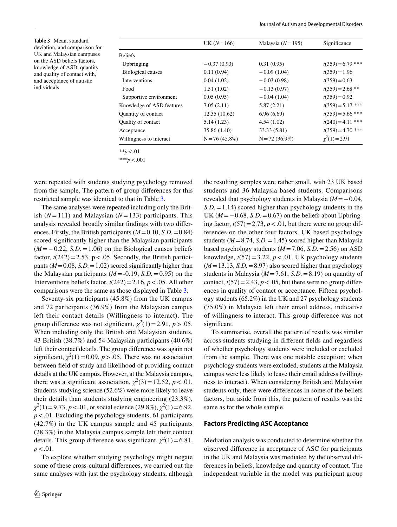<span id="page-5-0"></span>**Table 3** Mean, standard deviation, and comparison for UK and Malaysian campuses on the ASD beliefs factors, knowledge of ASD, quantity and quality of contact with, and acceptance of autistic individuals

|                           | UK $(N=166)$     | Malaysia $(N=195)$ | Significance        |
|---------------------------|------------------|--------------------|---------------------|
| <b>Beliefs</b>            |                  |                    |                     |
| Upbringing                | $-0.37(0.93)$    | 0.31(0.95)         | $t(359) = 6.79$ *** |
| <b>Biological causes</b>  | 0.11(0.94)       | $-0.09(1.04)$      | $t(359) = 1.96$     |
| <b>Interventions</b>      | 0.04(1.02)       | $-0.03(0.98)$      | $t(359) = 0.63$     |
| Food                      | 1.51(1.02)       | $-0.13(0.97)$      | $t(359) = 2.68$ **  |
| Supportive environment    | 0.05(0.95)       | $-0.04(1.04)$      | $t(359) = 0.92$     |
| Knowledge of ASD features | 7.05(2.11)       | 5.87(2.21)         | $t(359) = 5.17$ *** |
| Quantity of contact       | 12.35(10.62)     | 6.96(6.69)         | $t(359) = 5.66$ *** |
| <b>Ouality of contact</b> | 5.14(1.23)       | 4.54(1.02)         | $t(240) = 4.11$ *** |
| Acceptance                | 35.86 (4.40)     | 33.33 (5.81)       | $t(359) = 4.70$ *** |
| Willingness to interact   | $N = 76(45.8\%)$ | $N = 72(36.9%)$    | $\chi^2(1) = 2.91$  |
| ** $p < .01$              |                  |                    |                     |

*\*\*\*p*<.001

were repeated with students studying psychology removed from the sample. The pattern of group diferences for this restricted sample was identical to that in Table [3.](#page-5-0)

The same analyses were repeated including only the British  $(N=111)$  and Malaysian  $(N=133)$  participants. This analysis revealed broadly similar fndings with two diferences. Firstly, the British participants (*M*=0.10, *S.D.*=0.84) scored signifcantly higher than the Malaysian participants (*M* =−0.22, *S.D.*=1.06) on the Biological causes beliefs factor,  $t(242) = 2.53$ ,  $p < .05$ . Secondly, the British participants  $(M=0.08, S.D. = 1.02)$  scored significantly higher than the Malaysian participants  $(M = -0.19, S.D. = 0.95)$  on the Interventions beliefs factor,  $t(242) = 2.16$ ,  $p < .05$ . All other comparisons were the same as those displayed in Table [3](#page-5-0).

Seventy-six participants (45.8%) from the UK campus and 72 participants (36.9%) from the Malaysian campus left their contact details (Willingness to interact). The group difference was not significant,  $\chi^2(1) = 2.91$ ,  $p > .05$ . When including only the British and Malaysian students, 43 British (38.7%) and 54 Malaysian participants (40.6%) left their contact details. The group diference was again not significant,  $\chi^2(1) = 0.09$ ,  $p > .05$ . There was no association between feld of study and likelihood of providing contact details at the UK campus. However, at the Malaysia campus, there was a significant association,  $\chi^2(3) = 12.52$ ,  $p < .01$ . Students studying science (52.6%) were more likely to leave their details than students studying engineering (23.3%),  $\chi^2(1) = 9.73$ , *p* < .01, or social science (29.8%),  $\chi^2(1) = 6.92$ , *p*<.01. Excluding the psychology students, 61 participants (42.7%) in the UK campus sample and 45 participants (28.3%) in the Malaysia campus sample left their contact details. This group difference was significant,  $\chi^2(1) = 6.81$ , *p*<.01.

To explore whether studying psychology might negate some of these cross-cultural diferences, we carried out the same analyses with just the psychology students, although the resulting samples were rather small, with 23 UK based students and 36 Malaysia based students. Comparisons revealed that psychology students in Malaysia (*M*=−0.04, *S.D.*=1.14) scored higher than psychology students in the UK  $(M=-0.68, S.D. = 0.67)$  on the beliefs about Upbringing factor,  $t(57) = 2.73$ ,  $p < .01$ , but there were no group differences on the other four factors. UK based psychology students ( $M = 8.74$ , *S.D.* = 1.45) scored higher than Malaysia based psychology students (*M*=7.06, *S.D.*=2.56) on ASD knowledge,  $t(57) = 3.22$ ,  $p < .01$ . UK psychology students  $(M=13.13, S.D. = 8.97)$  also scored higher than psychology students in Malaysia ( $M=7.61$ , *S.D.* = 8.19) on quantity of contact,  $t(57) = 2.43$ ,  $p < .05$ , but there were no group differences in quality of contact or acceptance. Fifteen psychology students (65.2%) in the UK and 27 psychology students (75.0%) in Malaysia left their email address, indicative of willingness to interact. This group diference was not significant.

To summarise, overall the pattern of results was similar across students studying in diferent felds and regardless of whether psychology students were included or excluded from the sample. There was one notable exception; when psychology students were excluded, students at the Malaysia campus were less likely to leave their email address (willingness to interact). When considering British and Malaysian students only, there were diferences in some of the beliefs factors, but aside from this, the pattern of results was the same as for the whole sample.

#### **Factors Predicting ASC Acceptance**

Mediation analysis was conducted to determine whether the observed diference in acceptance of ASC for participants in the UK and Malaysia was mediated by the observed differences in beliefs, knowledge and quantity of contact. The independent variable in the model was participant group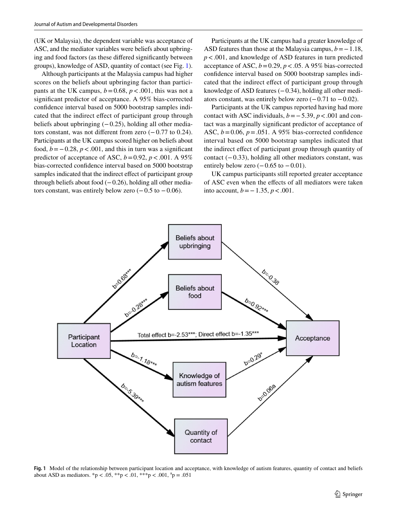(UK or Malaysia), the dependent variable was acceptance of ASC, and the mediator variables were beliefs about upbringing and food factors (as these difered signifcantly between groups), knowledge of ASD, quantity of contact (see Fig. [1](#page-6-0)).

Although participants at the Malaysia campus had higher scores on the beliefs about upbringing factor than participants at the UK campus,  $b = 0.68$ ,  $p < .001$ , this was not a signifcant predictor of acceptance. A 95% bias-corrected confdence interval based on 5000 bootstrap samples indicated that the indirect efect of participant group through beliefs about upbringing  $(-0.25)$ , holding all other mediators constant, was not diferent from zero (−0.77 to 0.24). Participants at the UK campus scored higher on beliefs about food,  $b = -0.28$ ,  $p < .001$ , and this in turn was a significant predictor of acceptance of ASC,  $b = 0.92$ ,  $p < .001$ . A 95% bias-corrected confdence interval based on 5000 bootstrap samples indicated that the indirect effect of participant group through beliefs about food  $(-0.26)$ , holding all other mediators constant, was entirely below zero  $(-0.5 \text{ to } -0.06)$ .

Participants at the UK campus had a greater knowledge of ASD features than those at the Malaysia campus,  $b = -1.18$ , *p*<.001, and knowledge of ASD features in turn predicted acceptance of ASC,  $b = 0.29$ ,  $p < .05$ . A 95% bias-corrected confdence interval based on 5000 bootstrap samples indicated that the indirect efect of participant group through knowledge of ASD features (−0.34), holding all other mediators constant, was entirely below zero  $(-0.71 \text{ to } -0.02)$ .

Participants at the UK campus reported having had more contact with ASC individuals, *b*=−5.39, *p*<.001 and contact was a marginally signifcant predictor of acceptance of ASC,  $b = 0.06$ ,  $p = .051$ . A 95% bias-corrected confidence interval based on 5000 bootstrap samples indicated that the indirect efect of participant group through quantity of contact (−0.33), holding all other mediators constant, was entirely below zero  $(-0.65 \text{ to } -0.01)$ .

UK campus participants still reported greater acceptance of ASC even when the efects of all mediators were taken into account, *b*=−1.35, *p*<.001.



<span id="page-6-0"></span>**Fig. 1** Model of the relationship between participant location and acceptance, with knowledge of autism features, quantity of contact and beliefs about ASD as mediators.  ${}^*p < .05$ ,  ${}^*p < .01$ ,  ${}^*p < .001$ ,  ${}^ap = .051$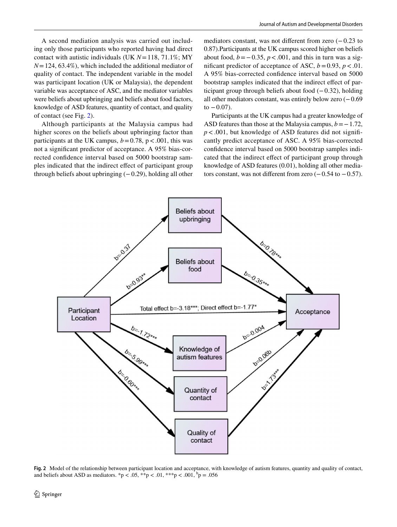A second mediation analysis was carried out including only those participants who reported having had direct contact with autistic individuals (UK *N*=118, 71.1%; MY *N*=124, 63.4%), which included the additional mediator of quality of contact. The independent variable in the model was participant location (UK or Malaysia), the dependent variable was acceptance of ASC, and the mediator variables were beliefs about upbringing and beliefs about food factors, knowledge of ASD features, quantity of contact, and quality of contact (see Fig. [2\)](#page-7-0).

Although participants at the Malaysia campus had higher scores on the beliefs about upbringing factor than participants at the UK campus,  $b = 0.78$ ,  $p < .001$ , this was not a signifcant predictor of acceptance. A 95% bias-corrected confdence interval based on 5000 bootstrap samples indicated that the indirect efect of participant group through beliefs about upbringing  $(-0.29)$ , holding all other

mediators constant, was not diferent from zero (−0.23 to 0.87).Participants at the UK campus scored higher on beliefs about food,  $b = 0.35$ ,  $p < .001$ , and this in turn was a significant predictor of acceptance of ASC,  $b = 0.93$ ,  $p < .01$ . A 95% bias-corrected confdence interval based on 5000 bootstrap samples indicated that the indirect effect of participant group through beliefs about food  $(-0.32)$ , holding all other mediators constant, was entirely below zero (−0.69 to  $-0.07$ ).

Participants at the UK campus had a greater knowledge of ASD features than those at the Malaysia campus,  $b = -1.72$ ,  $p < .001$ , but knowledge of ASD features did not significantly predict acceptance of ASC. A 95% bias-corrected confdence interval based on 5000 bootstrap samples indicated that the indirect efect of participant group through knowledge of ASD features (0.01), holding all other mediators constant, was not different from zero  $(-0.54$  to  $-0.57)$ .



<span id="page-7-0"></span>**Fig. 2** Model of the relationship between participant location and acceptance, with knowledge of autism features, quantity and quality of contact, and beliefs about ASD as mediators. \*p < .05, \*\*p < .01, \*\*\*p < .001,  ${}^{\text{b}}\text{p} = .056$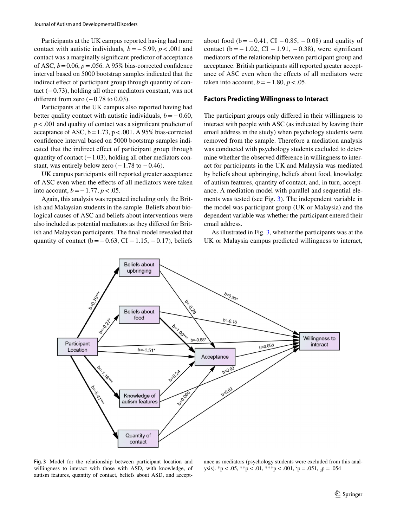Participants at the UK campus reported having had more contact with autistic individuals*, b*=−5.99, *p*<.001 and contact was a marginally signifcant predictor of acceptance of ASC,  $b = 0.06$ ,  $p = .056$ . A 95% bias-corrected confidence interval based on 5000 bootstrap samples indicated that the indirect effect of participant group through quantity of contact (−0.73), holding all other mediators constant, was not different from zero  $(-0.78 \text{ to } 0.03)$ .

Participants at the UK campus also reported having had better quality contact with autistic individuals,  $b = -0.60$ , *p*<.001 and quality of contact was a signifcant predictor of acceptance of ASC,  $b = 1.73$ ,  $p < .001$ . A 95% bias-corrected confdence interval based on 5000 bootstrap samples indicated that the indirect efect of participant group through quantity of contact  $(-1.03)$ , holding all other mediators constant, was entirely below zero  $(-1.78 \text{ to } -0.46)$ .

UK campus participants still reported greater acceptance of ASC even when the efects of all mediators were taken into account, *b*=−1.77, *p*<.05.

Again, this analysis was repeated including only the British and Malaysian students in the sample. Beliefs about biological causes of ASC and beliefs about interventions were also included as potential mediators as they difered for British and Malaysian participants. The fnal model revealed that quantity of contact ( $b = 0.63$ , CI − 1.15, −0.17), beliefs about food ( $b = −0.41$ , CI  $-0.85$ ,  $-0.08$ ) and quality of contact ( $b = -1.02$ , CI – 1.91, –0.38), were significant mediators of the relationship between participant group and acceptance. British participants still reported greater acceptance of ASC even when the efects of all mediators were taken into account,  $b = -1.80$ ,  $p < .05$ .

## **Factors Predicting Willingness to Interact**

The participant groups only difered in their willingness to interact with people with ASC (as indicated by leaving their email address in the study) when psychology students were removed from the sample. Therefore a mediation analysis was conducted with psychology students excluded to determine whether the observed diference in willingness to interact for participants in the UK and Malaysia was mediated by beliefs about upbringing, beliefs about food, knowledge of autism features, quantity of contact, and, in turn, acceptance. A mediation model with parallel and sequential elements was tested (see Fig. [3](#page-8-0)). The independent variable in the model was participant group (UK or Malaysia) and the dependent variable was whether the participant entered their email address.

As illustrated in Fig. [3](#page-8-0), whether the participants was at the UK or Malaysia campus predicted willingness to interact,



<span id="page-8-0"></span>**Fig. 3** Model for the relationship between participant location and willingness to interact with those with ASD, with knowledge, of autism features, quantity of contact, beliefs about ASD, and accept-

ance as mediators (psychology students were excluded from this analysis). \*p < .05, \*\*p < .01, \*\*\*p < .001,  $c$  = .051,  $d$  = .054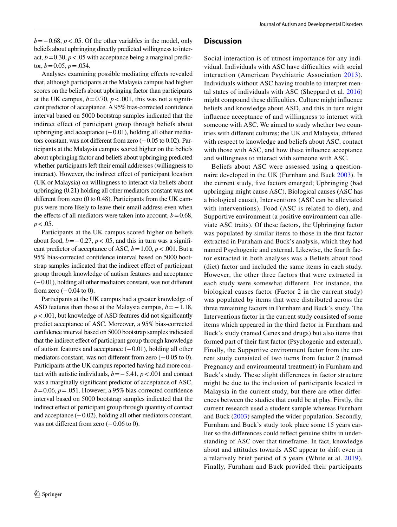*b*=−0.68, *p* < .05. Of the other variables in the model, only beliefs about upbringing directly predicted willingness to interact,  $b = 0.30$ ,  $p < .05$  with acceptance being a marginal predictor,  $b = 0.05$ ,  $p = .054$ .

Analyses examining possible mediating efects revealed that, although participants at the Malaysia campus had higher scores on the beliefs about upbringing factor than participants at the UK campus,  $b = 0.70$ ,  $p < .001$ , this was not a significant predictor of acceptance. A 95% bias-corrected confdence interval based on 5000 bootstrap samples indicated that the indirect effect of participant group through beliefs about upbringing and acceptance  $(-0.01)$ , holding all other mediators constant, was not diferent from zero (−0.05 to 0.02). Participants at the Malaysia campus scored higher on the beliefs about upbringing factor and beliefs about upbringing predicted whether participants left their email addresses (willingness to interact). However, the indirect efect of participant location (UK or Malaysia) on willingness to interact via beliefs about upbringing (0.21) holding all other mediators constant was not diferent from zero (0 to 0.48). Participants from the UK campus were more likely to leave their email address even when the effects of all mediators were taken into account,  $b = 0.68$ , *p*<.05.

Participants at the UK campus scored higher on beliefs about food,  $b = -0.27$ ,  $p < .05$ , and this in turn was a significant predictor of acceptance of ASC,  $b = 1.00$ ,  $p < .001$ . But a 95% bias-corrected confdence interval based on 5000 bootstrap samples indicated that the indirect efect of participant group through knowledge of autism features and acceptance (−0.01), holding all other mediators constant, was not diferent from zero  $(-0.04 \text{ to } 0)$ .

Participants at the UK campus had a greater knowledge of ASD features than those at the Malaysia campus, *b*=−1.18, *p*<.001, but knowledge of ASD features did not signifcantly predict acceptance of ASC. Moreover, a 95% bias-corrected confdence interval based on 5000 bootstrap samples indicated that the indirect effect of participant group through knowledge of autism features and acceptance (−0.01), holding all other mediators constant, was not different from zero (−0.05 to 0). Participants at the UK campus reported having had more contact with autistic individuals, *b*=−5.41, *p*<.001 and contact was a marginally signifcant predictor of acceptance of ASC,  $b=0.06$ ,  $p=.051$ . However, a 95% bias-corrected confidence interval based on 5000 bootstrap samples indicated that the indirect effect of participant group through quantity of contact and acceptance (−0.02), holding all other mediators constant, was not different from zero  $(-0.06 \text{ to } 0)$ .

# **Discussion**

Social interaction is of utmost importance for any individual. Individuals with ASC have difficulties with social interaction (American Psychiatric Association [2013\)](#page-12-0). Individuals without ASC having trouble to interpret mental states of individuals with ASC (Sheppard et al. [2016\)](#page-13-12) might compound these difficulties. Culture might influence beliefs and knowledge about ASD, and this in turn might infuence acceptance of and willingness to interact with someone with ASC. We aimed to study whether two countries with diferent cultures; the UK and Malaysia, difered with respect to knowledge and beliefs about ASC, contact with those with ASC, and how these infuence acceptance and willingness to interact with someone with ASC.

Beliefs about ASC were assessed using a questionnaire developed in the UK (Furnham and Buck [2003\)](#page-12-5). In the current study, fve factors emerged; Upbringing (bad upbringing might cause ASC), Biological causes (ASC has a biological cause), Interventions (ASC can be alleviated with interventions), Food (ASC is related to diet), and Supportive environment (a positive environment can alleviate ASC traits). Of these factors, the Upbringing factor was populated by similar items to those in the frst factor extracted in Furnham and Buck's analysis, which they had named Psychogenic and external. Likewise, the fourth factor extracted in both analyses was a Beliefs about food (diet) factor and included the same items in each study. However, the other three factors that were extracted in each study were somewhat diferent. For instance, the biological causes factor (Factor 2 in the current study) was populated by items that were distributed across the three remaining factors in Furnham and Buck's study. The Interventions factor in the current study consisted of some items which appeared in the third factor in Furnham and Buck's study (named Genes and drugs) but also items that formed part of their frst factor (Psychogenic and external). Finally, the Supportive environment factor from the current study consisted of two items from factor 2 (named Pregnancy and environmental treatment) in Furnham and Buck's study. These slight diferences in factor structure might be due to the inclusion of participants located in Malaysia in the current study, but there are other diferences between the studies that could be at play. Firstly, the current research used a student sample whereas Furnham and Buck ([2003](#page-12-5)) sampled the wider population. Secondly, Furnham and Buck's study took place some 15 years earlier so the diferences could refect genuine shifts in understanding of ASC over that timeframe. In fact, knowledge about and attitudes towards ASC appear to shift even in a relatively brief period of 5 years (White et al. [2019](#page-13-20)). Finally, Furnham and Buck provided their participants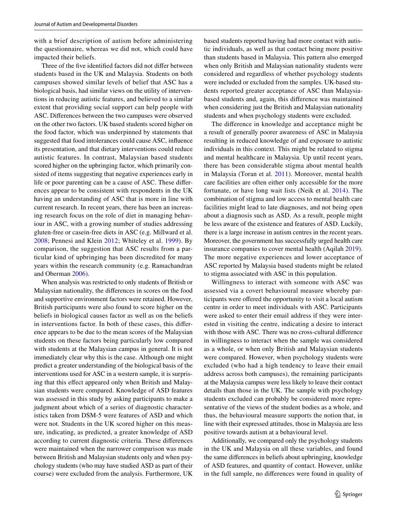with a brief description of autism before administering the questionnaire, whereas we did not, which could have impacted their beliefs.

Three of the five identified factors did not differ between students based in the UK and Malaysia. Students on both campuses showed similar levels of belief that ASC has a biological basis, had similar views on the utility of interventions in reducing autistic features, and believed to a similar extent that providing social support can help people with ASC. Diferences between the two campuses were observed on the other two factors. UK based students scored higher on the food factor, which was underpinned by statements that suggested that food intolerances could cause ASC, infuence its presentation, and that dietary interventions could reduce autistic features. In contrast, Malaysian based students scored higher on the upbringing factor, which primarily consisted of items suggesting that negative experiences early in life or poor parenting can be a cause of ASC. These diferences appear to be consistent with respondents in the UK having an understanding of ASC that is more in line with current research. In recent years, there has been an increasing research focus on the role of diet in managing behaviour in ASC, with a growing number of studies addressing gluten-free or casein-free diets in ASC (e.g. Millward et al. [2008;](#page-13-21) Pennesi and Klein [2012](#page-13-22); Whiteley et al. [1999](#page-13-23)). By comparison, the suggestion that ASC results from a particular kind of upbringing has been discredited for many years within the research community (e.g. Ramachandran and Oberman [2006](#page-13-24)).

When analysis was restricted to only students of British or Malaysian nationality, the diferences in scores on the food and supportive environment factors were retained. However, British participants were also found to score higher on the beliefs in biological causes factor as well as on the beliefs in interventions factor. In both of these cases, this diference appears to be due to the mean scores of the Malaysian students on these factors being particularly low compared with students at the Malaysian campus in general. It is not immediately clear why this is the case. Although one might predict a greater understanding of the biological basis of the interventions used for ASC in a western sample, it is surprising that this efect appeared only when British and Malaysian students were compared. Knowledge of ASD features was assessed in this study by asking participants to make a judgment about which of a series of diagnostic characteristics taken from DSM-5 were features of ASD and which were not. Students in the UK scored higher on this measure, indicating, as predicted, a greater knowledge of ASD according to current diagnostic criteria. These diferences were maintained when the narrower comparison was made between British and Malaysian students only and when psychology students (who may have studied ASD as part of their course) were excluded from the analysis. Furthermore, UK based students reported having had more contact with autistic individuals, as well as that contact being more positive than students based in Malaysia. This pattern also emerged when only British and Malaysian nationality students were considered and regardless of whether psychology students were included or excluded from the samples. UK-based students reported greater acceptance of ASC than Malaysiabased students and, again, this diference was maintained when considering just the British and Malaysian nationality students and when psychology students were excluded.

The diference in knowledge and acceptance might be a result of generally poorer awareness of ASC in Malaysia resulting in reduced knowledge of and exposure to autistic individuals in this context. This might be related to stigma and mental healthcare in Malaysia. Up until recent years, there has been considerable stigma about mental health in Malaysia (Toran et al. [2011\)](#page-13-13). Moreover, mental health care facilities are often either only accessible for the more fortunate, or have long wait lists (Neik et al. [2014\)](#page-13-25). The combination of stigma and low access to mental health care facilities might lead to late diagnoses, and not being open about a diagnosis such as ASD. As a result, people might be less aware of the existence and features of ASD. Luckily, there is a large increase in autism centres in the recent years. Moreover, the government has successfully urged health care insurance companies to cover mental health (Aqilah [2019](#page-12-6)). The more negative experiences and lower acceptance of ASC reported by Malaysia based students might be related to stigma associated with ASC in this population.

Willingness to interact with someone with ASC was assessed via a covert behavioural measure whereby participants were ofered the opportunity to visit a local autism centre in order to meet individuals with ASC. Participants were asked to enter their email address if they were interested in visiting the centre, indicating a desire to interact with those with ASC. There was no cross-cultural diference in willingness to interact when the sample was considered as a whole, or when only British and Malaysian students were compared. However, when psychology students were excluded (who had a high tendency to leave their email address across both campuses), the remaining participants at the Malaysia campus were less likely to leave their contact details than those in the UK. The sample with psychology students excluded can probably be considered more representative of the views of the student bodies as a whole, and thus, the behavioural measure supports the notion that, in line with their expressed attitudes, those in Malaysia are less positive towards autism at a behavioural level.

Additionally, we compared only the psychology students in the UK and Malaysia on all these variables, and found the same diferences in beliefs about upbringing, knowledge of ASD features, and quantity of contact. However, unlike in the full sample, no diferences were found in quality of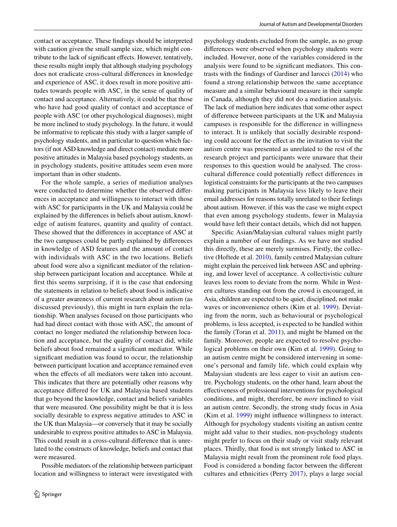contact or acceptance. These fndings should be interpreted with caution given the small sample size, which might contribute to the lack of signifcant efects. However, tentatively, these results might imply that although studying psychology does not eradicate cross-cultural diferences in knowledge and experience of ASC, it does result in more positive attitudes towards people with ASC, in the sense of quality of contact and acceptance. Alternatively, it could be that those who have had good quality of contact and acceptance of people with ASC (or other psychological diagnoses), might be more inclined to study psychology. In the future, it would be informative to replicate this study with a larger sample of psychology students, and in particular to question which factors (if not ASD knowledge and direct contact) mediate more positive attitudes in Malaysia based psychology students, as in psychology students, positive attitudes seem even more important than in other students.

For the whole sample, a series of mediation analyses were conducted to determine whether the observed diferences in acceptance and willingness to interact with those with ASC for participants in the UK and Malaysia could be explained by the diferences in beliefs about autism, knowledge of autism features, quantity and quality of contact. These showed that the diferences in acceptance of ASC at the two campuses could be partly explained by diferences in knowledge of ASD features and the amount of contact with individuals with ASC in the two locations. Beliefs about food were also a signifcant mediator of the relationship between participant location and acceptance. While at frst this seems surprising, if it is the case that endorsing the statements in relation to beliefs about food is indicative of a greater awareness of current research about autism (as discussed previously), this might in turn explain the relationship. When analyses focused on those participants who had had direct contact with those with ASC, the amount of contact no longer mediated the relationship between location and acceptance, but the quality of contact did, while beliefs about food remained a signifcant mediator. While signifcant mediation was found to occur, the relationship between participant location and acceptance remained even when the effects of all mediators were taken into account. This indicates that there are potentially other reasons why acceptance difered for UK and Malaysia based students that go beyond the knowledge, contact and beliefs variables that were measured. One possibility might be that it is less socially desirable to express negative attitudes to ASC in the UK than Malaysia—or conversely that it may be socially undesirable to express positive attitudes to ASC in Malaysia. This could result in a cross-cultural diference that is unrelated to the constructs of knowledge, beliefs and contact that were measured.

Possible mediators of the relationship between participant location and willingness to interact were investigated with psychology students excluded from the sample, as no group diferences were observed when psychology students were included. However, none of the variables considered in the analysis were found to be signifcant mediators. This contrasts with the fndings of Gardiner and Iarocci ([2014](#page-13-9)) who found a strong relationship between the same acceptance measure and a similar behavioural measure in their sample in Canada, although they did not do a mediation analysis. The lack of mediation here indicates that some other aspect of diference between participants at the UK and Malaysia campuses is responsible for the diference in willingness to interact. It is unlikely that socially desirable responding could account for the efect as the invitation to visit the autism centre was presented as unrelated to the rest of the research project and participants were unaware that their responses to this question would be analysed. The crosscultural diference could potentially refect diferences in logistical constraints for the participants at the two campuses making participants in Malaysia less likely to leave their email addresses for reasons totally unrelated to their feelings about autism. However, if this was the case we might expect that even among psychology students, fewer in Malaysia would have left their contact details, which did not happen.

Specifc Asian/Malaysian cultural values might partly explain a number of our fndings. As we have not studied this directly, these are merely surmises. Firstly, the collective (Hoftede et al. [2010\)](#page-13-26), family centred Malaysian culture might explain the perceived link between ASC and upbringing, and lower level of acceptance. A collectivistic culture leaves less room to deviate from the norm. While in Western cultures standing out from the crowd is encouraged, in Asia, children are expected to be quiet, disciplined, not make waves or inconvenience others (Kim et al. [1999\)](#page-13-27). Deviating from the norm, such as behavioural or psychological problems, is less accepted, is expected to be handled within the family (Toran et al. [2011](#page-13-13)), and might be blamed on the family. Moreover, people are expected to resolve psycho-logical problems on their own (Kim et al. [1999](#page-13-27)). Going to an autism centre might be considered intervening in someone's personal and family life, which could explain why Malaysian students are less eager to visit an autism centre. Psychology students, on the other hand, learn about the efectiveness of professional interventions for psychological conditions, and might, therefore, be *more* inclined to visit an autism centre. Secondly, the strong study focus in Asia (Kim et al. [1999](#page-13-27)) might infuence willingness to interact. Although for psychology students visiting an autism centre might add value to their studies, non-psychology students might prefer to focus on their study or visit study relevant places. Thirdly, that food is not strongly linked to ASC in Malaysia might result from the prominent role food plays. Food is considered a bonding factor between the diferent cultures and ethnicities (Perry [2017\)](#page-13-28), plays a large social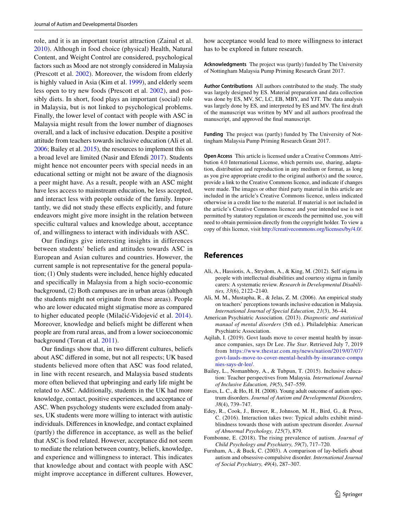role, and it is an important tourist attraction (Zainal et al. [2010](#page-13-29)). Although in food choice (physical) Health, Natural Content, and Weight Control are considered, psychological factors such as Mood are not strongly considered in Malaysia (Prescott et al. [2002\)](#page-13-30). Moreover, the wisdom from elderly is highly valued in Asia (Kim et al. [1999](#page-13-27)), and elderly seem less open to try new foods (Prescott et al. [2002](#page-13-30)), and possibly diets. In short, food plays an important (social) role in Malaysia, but is not linked to psychological problems. Finally, the lower level of contact with people with ASC in Malaysia might result from the lower number of diagnoses overall, and a lack of inclusive education. Despite a positive attitude from teachers towards inclusive education (Ali et al. [2006;](#page-12-7) Bailey et al. [2015](#page-12-8)), the resources to implement this on a broad level are limited (Nasir and Efendi [2017\)](#page-13-31). Students might hence not encounter peers with special needs in an educational setting or might not be aware of the diagnosis a peer might have. As a result, people with an ASC might have less access to mainstream education, be less accepted, and interact less with people outside of the family. Importantly, we did not study these efects explicitly, and future endeavors might give more insight in the relation between specifc cultural values and knowledge about, acceptance of, and willingness to interact with individuals with ASC.

Our findings give interesting insights in differences between students' beliefs and attitudes towards ASC in European and Asian cultures and countries. However, the current sample is not representative for the general population; (1) Only students were included, hence highly educated and specifcally in Malaysia from a high socio-economic background, (2) Both campuses are in urban areas (although the students might not originate from these areas). People who are lower educated might stigmatise more as compared to higher educated people (Milačić-Vidojević et al. [2014](#page-13-3)). Moreover, knowledge and beliefs might be diferent when people are from rural areas, and from a lower socioeconomic background (Toran et al. [2011\)](#page-13-13).

Our fndings show that, in two diferent cultures, beliefs about ASC difered in some, but not all respects; UK based students believed more often that ASC was food related, in line with recent research, and Malaysia based students more often believed that upbringing and early life might be related to ASC. Additionally, students in the UK had more knowledge, contact, positive experiences, and acceptance of ASC. When psychology students were excluded from analyses, UK students were more willing to interact with autistic individuals. Diferences in knowledge, and contact explained (partly) the diference in acceptance, as well as the belief that ASC is food related. However, acceptance did not seem to mediate the relation between country, beliefs, knowledge, and experience and willingness to interact. This indicates that knowledge about and contact with people with ASC might improve acceptance in diferent cultures. However,

how acceptance would lead to more willingness to interact has to be explored in future research.

**Acknowledgments** The project was (partly) funded by The University of Nottingham Malaysia Pump Priming Research Grant 2017.

**Author Contributions** All authors contributed to the study. The study was largely designed by ES. Material preparation and data collection was done by ES, MV, SC, LC, EB, MBY, and YJT. The data analysis was largely done by ES, and interpreted by ES and MV. The frst draft of the manuscript was written by MV and all authors proofread the manuscript, and approved the fnal manuscript.

**Funding** The project was (partly) funded by The University of Nottingham Malaysia Pump Priming Research Grant 2017.

**Open Access** This article is licensed under a Creative Commons Attribution 4.0 International License, which permits use, sharing, adaptation, distribution and reproduction in any medium or format, as long as you give appropriate credit to the original author(s) and the source, provide a link to the Creative Commons licence, and indicate if changes were made. The images or other third party material in this article are included in the article's Creative Commons licence, unless indicated otherwise in a credit line to the material. If material is not included in the article's Creative Commons licence and your intended use is not permitted by statutory regulation or exceeds the permitted use, you will need to obtain permission directly from the copyright holder. To view a copy of this licence, visit<http://creativecommons.org/licenses/by/4.0/>.

# **References**

- <span id="page-12-2"></span>Ali, A., Hassiotis, A., Strydom, A., & King, M. (2012). Self stigma in people with intellectual disabilities and courtesy stigma in family carers: A systematic review. *Research in Developmental Disabilities, 33*(6), 2122–2140.
- <span id="page-12-7"></span>Ali, M. M., Mustapha, R., & Jelas, Z. M. (2006). An empirical study on teachers' perceptions towards inclusive education in Malaysia. *International Journal of Special Education, 21*(3), 36–44.
- <span id="page-12-0"></span>American Psychiatric Association. (2013). *Diagnostic and statistical manual of mental disorders* (5th ed.). Philadelphia: American Psychiatric Association.
- <span id="page-12-6"></span>Aqilah, I. (2019). Govt lauds move to cover mental health by insurance companies, says Dr Lee. *The Star*. Retrieved July 7, 2019 from [https://www.thestar.com.my/news/nation/2019/07/07/](https://www.thestar.com.my/news/nation/2019/07/07/govt-lauds-move-to-cover-mental-health-by-insurance-companies-says-dr-lee/) [govt-lauds-move-to-cover-mental-health-by-insurance-compa](https://www.thestar.com.my/news/nation/2019/07/07/govt-lauds-move-to-cover-mental-health-by-insurance-companies-says-dr-lee/) [nies-says-dr-lee/](https://www.thestar.com.my/news/nation/2019/07/07/govt-lauds-move-to-cover-mental-health-by-insurance-companies-says-dr-lee/).
- <span id="page-12-8"></span>Bailey, L., Nomanbhoy, A., & Tubpun, T. (2015). Inclusive education: Teacher perspectives from Malaysia. *International Journal of Inclusive Education, 19*(5), 547–559.
- <span id="page-12-4"></span>Eaves, L. C., & Ho, H. H. (2008). Young adult outcome of autism spectrum disorders. *Journal of Autism and Developmental Disorders, 38*(4), 739–747.
- <span id="page-12-3"></span>Edey, R., Cook, J., Brewer, R., Johnson, M. H., Bird, G., & Press, C. (2016). Interaction takes two: Typical adults exhibit mindblindness towards those with autism spectrum disorder. *Journal of Abnormal Psychology, 125*(7), 879.
- <span id="page-12-1"></span>Fombonne, E. (2018). The rising prevalence of autism. *Journal of Child Psychology and Psychiatry, 59*(7), 717–720.
- <span id="page-12-5"></span>Furnham, A., & Buck, C. (2003). A comparison of lay-beliefs about autism and obsessive-compulsive disorder. *International Journal of Social Psychiatry, 49*(4), 287–307.